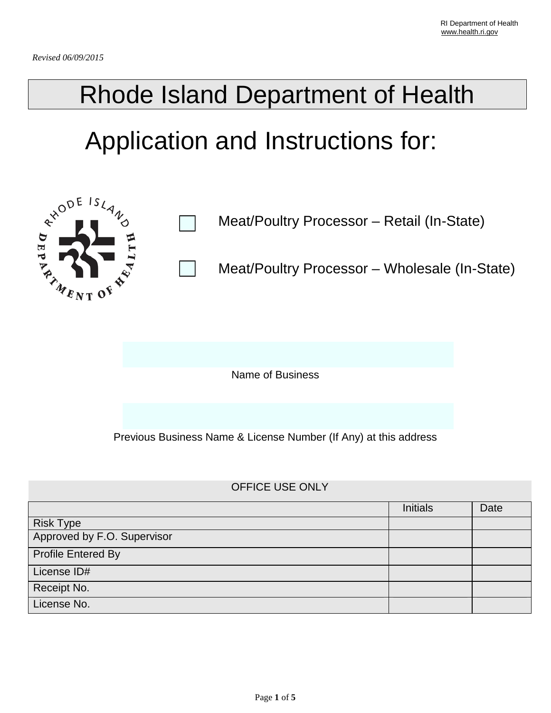# Rhode Island Department of Health

# Application and Instructions for:



Meat/Poultry Processor – Retail (In-State)

Meat/Poultry Processor – Wholesale (In-State)

Name of Business

Previous Business Name & License Number (If Any) at this address

### OFFICE USE ONLY

|                             | <b>Initials</b> | Date |
|-----------------------------|-----------------|------|
| <b>Risk Type</b>            |                 |      |
| Approved by F.O. Supervisor |                 |      |
| <b>Profile Entered By</b>   |                 |      |
| License ID#                 |                 |      |
| Receipt No.                 |                 |      |
| License No.                 |                 |      |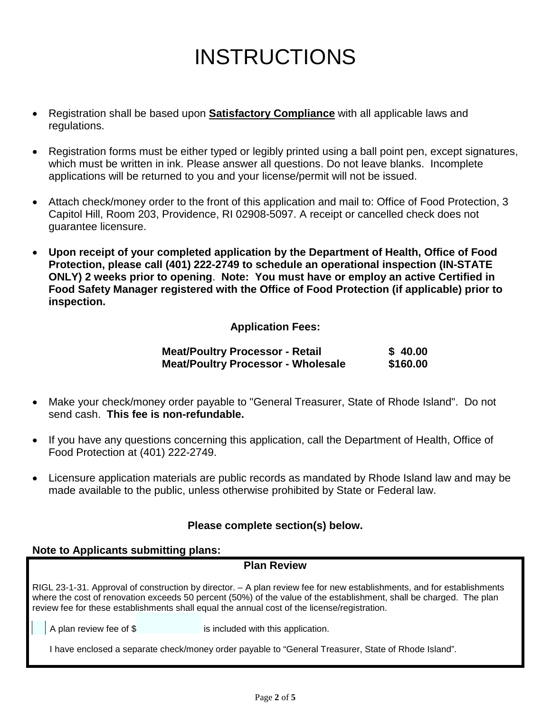## INSTRUCTIONS

- Registration shall be based upon **Satisfactory Compliance** with all applicable laws and regulations.
- Registration forms must be either typed or legibly printed using a ball point pen, except signatures, which must be written in ink. Please answer all questions. Do not leave blanks. Incomplete applications will be returned to you and your license/permit will not be issued.
- Attach check/money order to the front of this application and mail to: Office of Food Protection, 3 Capitol Hill, Room 203, Providence, RI 02908-5097. A receipt or cancelled check does not guarantee licensure.
- **Upon receipt of your completed application by the Department of Health, Office of Food Protection, please call (401) 222-2749 to schedule an operational inspection (IN-STATE ONLY) 2 weeks prior to opening**. **Note: You must have or employ an active Certified in Food Safety Manager registered with the Office of Food Protection (if applicable) prior to inspection.**

### **Application Fees:**

| <b>Meat/Poultry Processor - Retail</b>    | \$40.00  |
|-------------------------------------------|----------|
| <b>Meat/Poultry Processor - Wholesale</b> | \$160.00 |

- Make your check/money order payable to "General Treasurer, State of Rhode Island". Do not send cash. **This fee is non-refundable.**
- If you have any questions concerning this application, call the Department of Health, Office of Food Protection at (401) 222-2749.
- Licensure application materials are public records as mandated by Rhode Island law and may be made available to the public, unless otherwise prohibited by State or Federal law.

#### **Please complete section(s) below.**

#### **Note to Applicants submitting plans:**

#### **Plan Review**

RIGL 23-1-31. Approval of construction by director. – A plan review fee for new establishments, and for establishments where the cost of renovation exceeds 50 percent (50%) of the value of the establishment, shall be charged. The plan review fee for these establishments shall equal the annual cost of the license/registration.

A plan review fee of \$ is included with this application.

I have enclosed a separate check/money order payable to "General Treasurer, State of Rhode Island".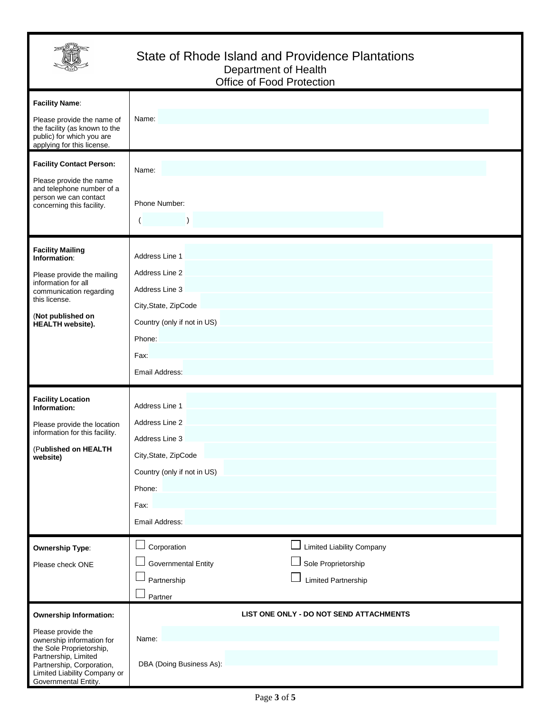

### State of Rhode Island and Providence Plantations Department of Health Office of Food Protection

| <b>Facility Name:</b><br>Please provide the name of<br>the facility (as known to the<br>public) for which you are<br>applying for this license.                                                                           | Name:                                                                                                                                                        |
|---------------------------------------------------------------------------------------------------------------------------------------------------------------------------------------------------------------------------|--------------------------------------------------------------------------------------------------------------------------------------------------------------|
| <b>Facility Contact Person:</b><br>Please provide the name<br>and telephone number of a<br>person we can contact<br>concerning this facility.                                                                             | Name:<br>Phone Number:<br>(                                                                                                                                  |
| <b>Facility Mailing</b><br>Information:<br>Please provide the mailing<br>information for all<br>communication regarding<br>this license.<br>(Not published on<br><b>HEALTH</b> website).                                  | Address Line 1<br>Address Line 2<br>Address Line 3<br>City, State, ZipCode<br>Country (only if not in US)<br>Phone:<br>Fax:<br>Email Address:                |
| <b>Facility Location</b><br>Information:<br>Please provide the location<br>information for this facility.<br>(Published on HEALTH<br>website)                                                                             | Address Line 1<br>Address Line 2<br>Address Line 3<br>City, State, ZipCode<br>Country (only if not in US)<br>Phone:<br>Fax:<br>Email Address:                |
| <b>Ownership Type:</b><br>Please check ONE                                                                                                                                                                                | Corporation<br><b>Limited Liability Company</b><br><b>Governmental Entity</b><br>Sole Proprietorship<br><b>Limited Partnership</b><br>Partnership<br>Partner |
| <b>Ownership Information:</b><br>Please provide the<br>ownership information for<br>the Sole Proprietorship,<br>Partnership, Limited<br>Partnership, Corporation,<br>Limited Liability Company or<br>Governmental Entity. | LIST ONE ONLY - DO NOT SEND ATTACHMENTS<br>Name:<br>DBA (Doing Business As):                                                                                 |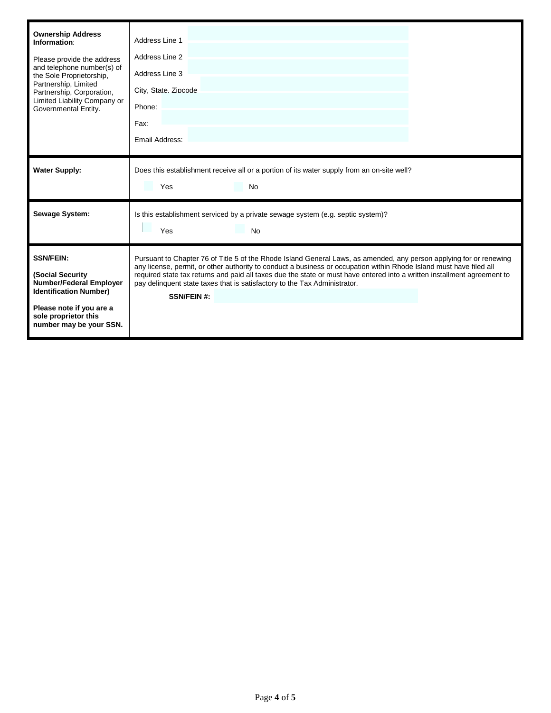| <b>Ownership Address</b><br>Information:<br>Please provide the address<br>and telephone number(s) of<br>the Sole Proprietorship,<br>Partnership, Limited<br>Partnership, Corporation,<br>Limited Liability Company or<br>Governmental Entity. | Address Line 1<br>Address Line 2<br>Address Line 3<br>City, State, Zipcode<br>Phone:<br>Fax:<br>Email Address:                                                                                                                                                                                                                                                                                                                                                            |
|-----------------------------------------------------------------------------------------------------------------------------------------------------------------------------------------------------------------------------------------------|---------------------------------------------------------------------------------------------------------------------------------------------------------------------------------------------------------------------------------------------------------------------------------------------------------------------------------------------------------------------------------------------------------------------------------------------------------------------------|
| <b>Water Supply:</b>                                                                                                                                                                                                                          | Does this establishment receive all or a portion of its water supply from an on-site well?<br>Yes<br>No                                                                                                                                                                                                                                                                                                                                                                   |
| <b>Sewage System:</b>                                                                                                                                                                                                                         | Is this establishment serviced by a private sewage system (e.g. septic system)?<br>Yes<br><b>No</b>                                                                                                                                                                                                                                                                                                                                                                       |
| <b>SSN/FEIN:</b><br>(Social Security<br><b>Number/Federal Employer</b><br><b>Identification Number)</b><br>Please note if you are a<br>sole proprietor this<br>number may be your SSN.                                                        | Pursuant to Chapter 76 of Title 5 of the Rhode Island General Laws, as amended, any person applying for or renewing<br>any license, permit, or other authority to conduct a business or occupation within Rhode Island must have filed all<br>required state tax returns and paid all taxes due the state or must have entered into a written installment agreement to<br>pay delinguent state taxes that is satisfactory to the Tax Administrator.<br><b>SSN/FEIN #:</b> |